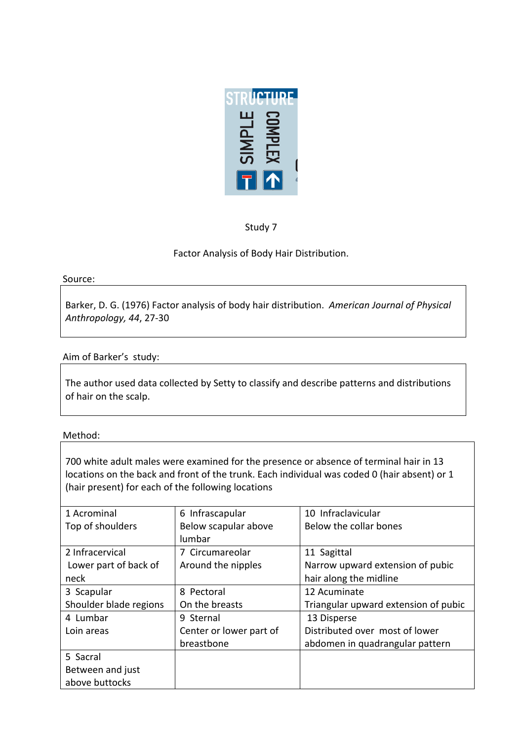

Study 7

Factor Analysis of Body Hair Distribution.

### Source:

Barker, D. G. (1976) Factor analysis of body hair distribution. American Journal of Physical *Anthropology, 44, 27-30* 

# Aim of Barker's study:

The author used data collected by Setty to classify and describe patterns and distributions of hair on the scalp.

# Method:

700 white adult males were examined for the presence or absence of terminal hair in 13 locations on the back and front of the trunk. Each individual was coded 0 (hair absent) or 1 (hair present) for each of the following locations

| 1 Acrominal            | 6 Infrascapular         | 10 Infraclavicular                   |  |
|------------------------|-------------------------|--------------------------------------|--|
| Top of shoulders       | Below scapular above    | Below the collar bones               |  |
|                        | lumbar                  |                                      |  |
| 2 Infracervical        | 7 Circumareolar         | 11 Sagittal                          |  |
| Lower part of back of  | Around the nipples      | Narrow upward extension of pubic     |  |
| neck                   |                         | hair along the midline               |  |
| 3 Scapular             | 8 Pectoral              | 12 Acuminate                         |  |
| Shoulder blade regions | On the breasts          | Triangular upward extension of pubic |  |
| 4 Lumbar               | 9 Sternal               | 13 Disperse                          |  |
| Loin areas             | Center or lower part of | Distributed over most of lower       |  |
|                        | breastbone              | abdomen in quadrangular pattern      |  |
| 5 Sacral               |                         |                                      |  |
| Between and just       |                         |                                      |  |
| above buttocks         |                         |                                      |  |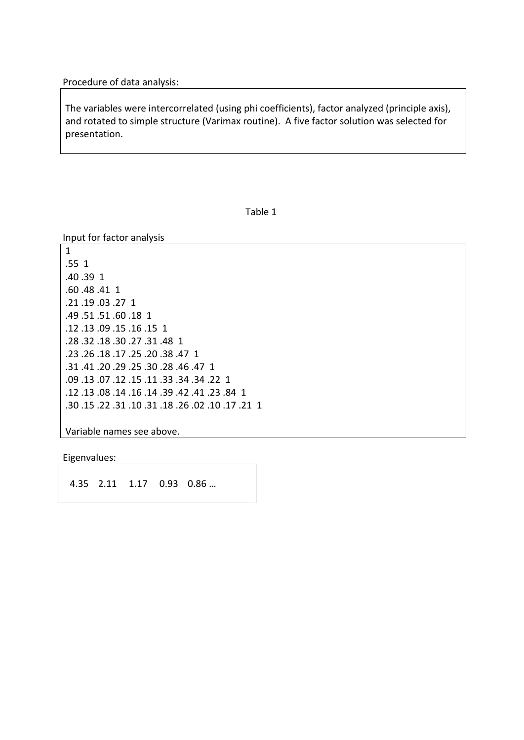Procedure of data analysis:

The variables were intercorrelated (using phi coefficients), factor analyzed (principle axis), and rotated to simple structure (Varimax routine). A five factor solution was selected for presentation.

Table 1

Input for factor analysis

1 .55 1 .40.39 1 .60.48.41 1 .21 .19 .03 .27 1 .49.51.51.60.18 1 .12 .13 .09 .15 .16 .15 1 .28 .32 .18 .30 .27 .31 .48 1 .23 .26 .18 .17 .25 .20 .38 .47 1 .31 .41 .20 .29 .25 .30 .28 .46 .47 1 .09 .13 .07 .12 .15 .11 .33 .34 .34 .22 1 .12 .13 .08 .14 .16 .14 .39 .42 .14 .23 .84 1 .30 .15 .22 .31 .10 .31 .18 .26 .02 .10 .17 .21

Variable names see above.

Eigenvalues:

4.35 2.11 1.17 0.93 0.86 ...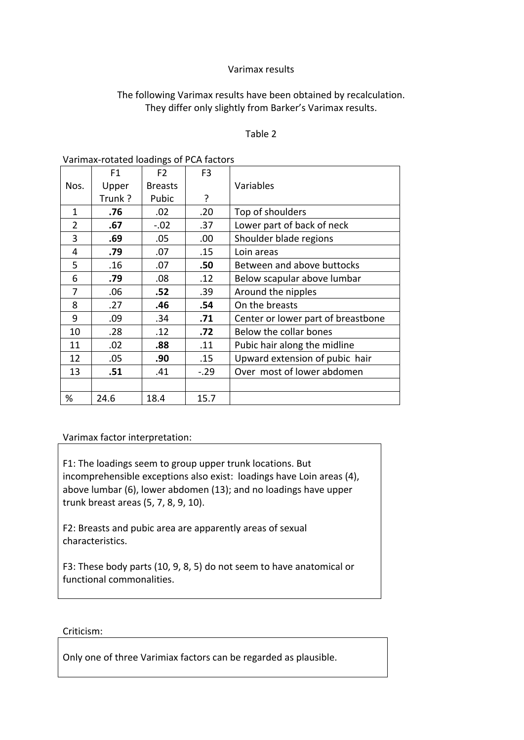### Varimax results

## The following Varimax results have been obtained by recalculation. They differ only slightly from Barker's Varimax results.

#### Table 2

|                | F <sub>1</sub> | F <sub>2</sub> | F <sub>3</sub> |                                    |  |
|----------------|----------------|----------------|----------------|------------------------------------|--|
| Nos.           | Upper          | <b>Breasts</b> |                | Variables                          |  |
|                | Trunk?         | Pubic          | ?              |                                    |  |
| $\mathbf{1}$   | .76            | .02            | .20            | Top of shoulders                   |  |
| $\overline{2}$ | .67            | $-.02$         | .37            | Lower part of back of neck         |  |
| 3              | .69            | .05            | .00.           | Shoulder blade regions             |  |
| 4              | .79            | .07            | .15            | Loin areas                         |  |
| 5              | .16            | .07            | .50            | Between and above buttocks         |  |
| 6              | .79            | .08            | .12            | Below scapular above lumbar        |  |
| 7              | .06            | .52            | .39            | Around the nipples                 |  |
| 8              | .27            | .46            | .54            | On the breasts                     |  |
| 9              | .09            | .34            | .71            | Center or lower part of breastbone |  |
| 10             | .28            | .12            | .72            | Below the collar bones             |  |
| 11             | .02            | .88            | .11            | Pubic hair along the midline       |  |
| 12             | .05            | .90            | .15            | Upward extension of pubic hair     |  |
| 13             | .51            | .41            | $-.29$         | Over most of lower abdomen         |  |
|                |                |                |                |                                    |  |
| %              | 24.6           | 18.4           | 15.7           |                                    |  |

#### Varimax-rotated loadings of PCA factors

### Varimax factor interpretation:

F1: The loadings seem to group upper trunk locations. But incomprehensible exceptions also exist: loadings have Loin areas (4), above lumbar (6), lower abdomen (13); and no loadings have upper trunk breast areas (5, 7, 8, 9, 10).

F2: Breasts and pubic area are apparently areas of sexual characteristics.

F3: These body parts (10, 9, 8, 5) do not seem to have anatomical or functional commonalities.

#### Criticism:!

Only one of three Varimiax factors can be regarded as plausible.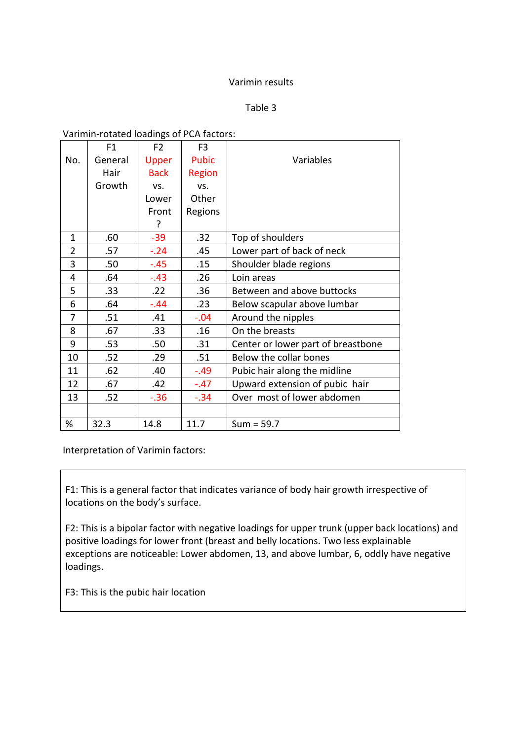## Varimin results

Table 3

Varimin-rotated loadings of PCA factors:

|                | F <sub>1</sub> | F <sub>2</sub> | F <sub>3</sub>                           |                                    |  |
|----------------|----------------|----------------|------------------------------------------|------------------------------------|--|
| No.            | General        | Upper          | <b>Pubic</b>                             | Variables                          |  |
|                | Hair           | <b>Back</b>    | Region                                   |                                    |  |
|                | Growth         | VS.            | VS.                                      |                                    |  |
|                |                | Lower          | Other                                    |                                    |  |
|                |                | Front          | Regions                                  |                                    |  |
|                |                | ?              |                                          |                                    |  |
| $\mathbf{1}$   | .60            | $-39$          | .32                                      | Top of shoulders                   |  |
| $\overline{2}$ | .57            | $-.24$         | .45                                      | Lower part of back of neck         |  |
| 3              | .50            | $-.45$         | .15                                      | Shoulder blade regions             |  |
| 4              | .64            | $-.43$         | .26                                      | Loin areas                         |  |
| 5              | .33            | .22            | .36                                      | Between and above buttocks         |  |
| 6              | .64            | $-.44$         | .23                                      | Below scapular above lumbar        |  |
| 7              | .51            | .41            | $-.04$                                   | Around the nipples                 |  |
| 8              | .67            | .33            | On the breasts<br>.16                    |                                    |  |
| 9              | .53            | .50            | .31                                      | Center or lower part of breastbone |  |
| 10             | .52            | .29            | .51                                      | Below the collar bones             |  |
| 11             | .62            | .40            | $-.49$<br>Pubic hair along the midline   |                                    |  |
| 12             | .67            | .42            | Upward extension of pubic hair<br>$-.47$ |                                    |  |
| 13             | .52            | $-.36$         | Over most of lower abdomen<br>$-.34$     |                                    |  |
|                |                |                |                                          |                                    |  |
| %              | 32.3           | 14.8           | 11.7                                     | $Sum = 59.7$                       |  |

Interpretation of Varimin factors:

F1: This is a general factor that indicates variance of body hair growth irrespective of locations on the body's surface.

F2: This is a bipolar factor with negative loadings for upper trunk (upper back locations) and positive loadings for lower front (breast and belly locations. Two less explainable exceptions are noticeable: Lower abdomen, 13, and above lumbar, 6, oddly have negative loadings.

F3: This is the pubic hair location